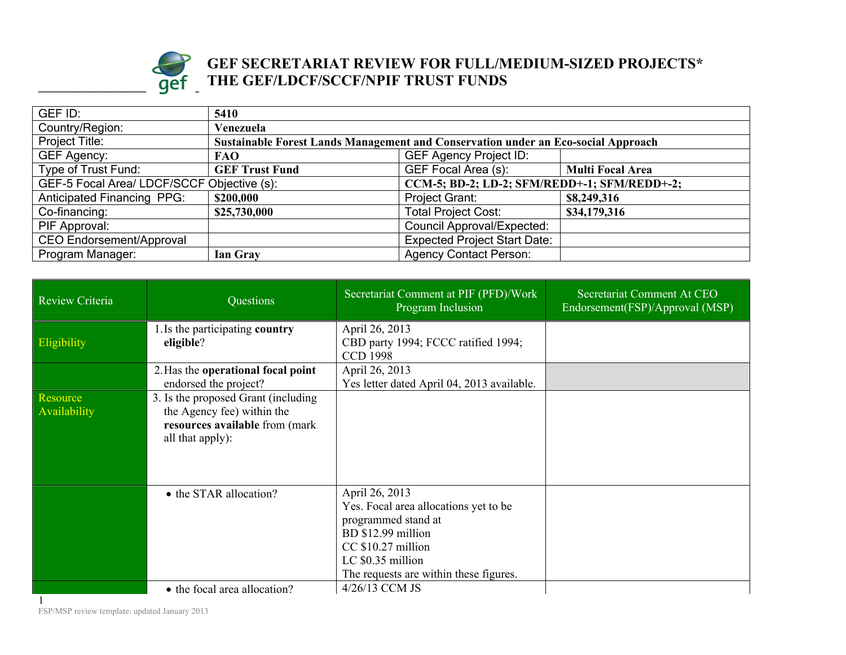

## **Example 1 Individually set of the set of the set of the set of the set of the set of the set of the set of the set of the set of the set of the set of the set of the set of the set of the set of the set of the set of the GEF SECRETARIAT REVIEW FOR FULL/MEDIUM-SIZED PROJECTS\* THE GEF/LDCF/SCCF/NPIF TRUST FUNDS**

| GEF ID:                           | 5410                                                                                       |                                     |                         |  |
|-----------------------------------|--------------------------------------------------------------------------------------------|-------------------------------------|-------------------------|--|
| Country/Region:                   | Venezuela                                                                                  |                                     |                         |  |
| Project Title:                    | Sustainable Forest Lands Management and Conservation under an Eco-social Approach          |                                     |                         |  |
| GEF Agency:                       | <b>FAO</b>                                                                                 | <b>GEF Agency Project ID:</b>       |                         |  |
| Type of Trust Fund:               | <b>GEF Trust Fund</b>                                                                      | GEF Focal Area (s):                 | <b>Multi Focal Area</b> |  |
|                                   | GEF-5 Focal Area/ LDCF/SCCF Objective (s):<br>CCM-5; BD-2; LD-2; SFM/REDD+-1; SFM/REDD+-2; |                                     |                         |  |
| <b>Anticipated Financing PPG:</b> | \$200,000                                                                                  | <b>Project Grant:</b>               | \$8,249,316             |  |
| Co-financing:                     | \$25,730,000                                                                               | <b>Total Project Cost:</b>          | \$34,179,316            |  |
| PIF Approval:                     |                                                                                            | <b>Council Approval/Expected:</b>   |                         |  |
| <b>CEO Endorsement/Approval</b>   |                                                                                            | <b>Expected Project Start Date:</b> |                         |  |
| Program Manager:                  | Ian Gray                                                                                   | <b>Agency Contact Person:</b>       |                         |  |

| Review Criteria          | Questions                                                                                                               | Secretariat Comment at PIF (PFD)/Work<br>Program Inclusion                                                                                                                                | Secretariat Comment At CEO<br>Endorsement(FSP)/Approval (MSP) |
|--------------------------|-------------------------------------------------------------------------------------------------------------------------|-------------------------------------------------------------------------------------------------------------------------------------------------------------------------------------------|---------------------------------------------------------------|
| Eligibility              | 1. Is the participating country<br>eligible?                                                                            | April 26, 2013<br>CBD party 1994; FCCC ratified 1994;<br><b>CCD 1998</b>                                                                                                                  |                                                               |
|                          | 2. Has the operational focal point<br>endorsed the project?                                                             | April 26, 2013<br>Yes letter dated April 04, 2013 available.                                                                                                                              |                                                               |
| Resource<br>Availability | 3. Is the proposed Grant (including<br>the Agency fee) within the<br>resources available from (mark<br>all that apply): |                                                                                                                                                                                           |                                                               |
|                          | • the STAR allocation?                                                                                                  | April 26, 2013<br>Yes. Focal area allocations yet to be<br>programmed stand at<br>BD \$12.99 million<br>CC \$10.27 million<br>LC \$0.35 million<br>The requests are within these figures. |                                                               |
|                          | • the focal area allocation?                                                                                            | 4/26/13 CCM JS                                                                                                                                                                            |                                                               |

FSP/MSP review template: updated January 2013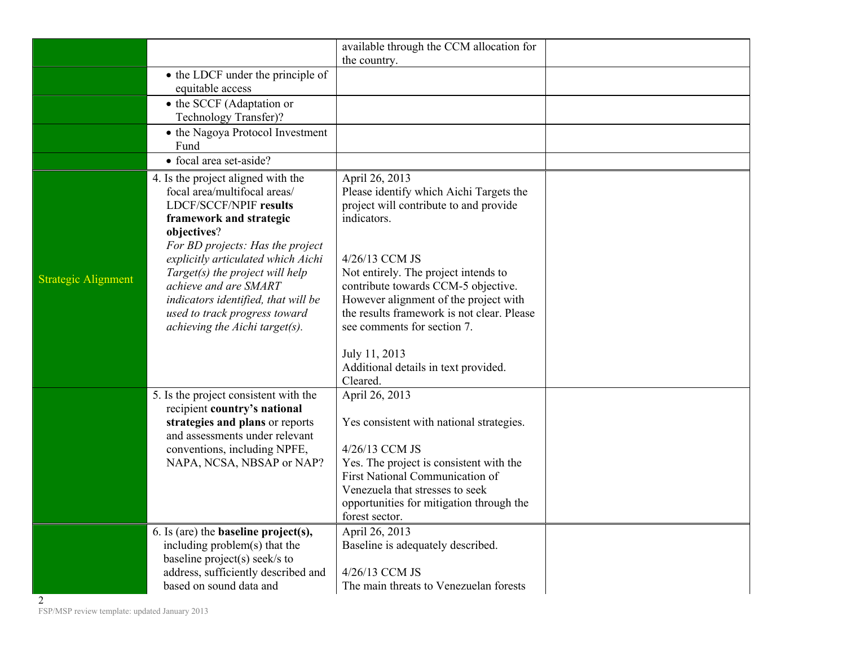|                            |                                                                                                                                                                                                                  | available through the CCM allocation for<br>the country.                                                                                                                                                                                                               |
|----------------------------|------------------------------------------------------------------------------------------------------------------------------------------------------------------------------------------------------------------|------------------------------------------------------------------------------------------------------------------------------------------------------------------------------------------------------------------------------------------------------------------------|
|                            | • the LDCF under the principle of<br>equitable access                                                                                                                                                            |                                                                                                                                                                                                                                                                        |
|                            | • the SCCF (Adaptation or<br>Technology Transfer)?                                                                                                                                                               |                                                                                                                                                                                                                                                                        |
|                            | • the Nagoya Protocol Investment<br>Fund                                                                                                                                                                         |                                                                                                                                                                                                                                                                        |
|                            | • focal area set-aside?                                                                                                                                                                                          |                                                                                                                                                                                                                                                                        |
|                            | 4. Is the project aligned with the<br>focal area/multifocal areas/<br>LDCF/SCCF/NPIF results<br>framework and strategic<br>objectives?<br>For BD projects: Has the project<br>explicitly articulated which Aichi | April 26, 2013<br>Please identify which Aichi Targets the<br>project will contribute to and provide<br>indicators.<br>4/26/13 CCM JS                                                                                                                                   |
| <b>Strategic Alignment</b> | Target(s) the project will help<br>achieve and are SMART<br>indicators identified, that will be<br>used to track progress toward<br>achieving the Aichi target(s).                                               | Not entirely. The project intends to<br>contribute towards CCM-5 objective.<br>However alignment of the project with<br>the results framework is not clear. Please<br>see comments for section 7.<br>July 11, 2013<br>Additional details in text provided.<br>Cleared. |
|                            | 5. Is the project consistent with the<br>recipient country's national<br>strategies and plans or reports<br>and assessments under relevant<br>conventions, including NPFE,<br>NAPA, NCSA, NBSAP or NAP?          | April 26, 2013<br>Yes consistent with national strategies.<br>4/26/13 CCM JS<br>Yes. The project is consistent with the<br>First National Communication of<br>Venezuela that stresses to seek<br>opportunities for mitigation through the<br>forest sector.            |
|                            | 6. Is (are) the <b>baseline</b> $project(s)$ ,<br>including problem(s) that the<br>baseline project(s) seek/s to<br>address, sufficiently described and                                                          | April 26, 2013<br>Baseline is adequately described.<br>4/26/13 CCM JS                                                                                                                                                                                                  |
| 2                          | based on sound data and                                                                                                                                                                                          | The main threats to Venezuelan forests                                                                                                                                                                                                                                 |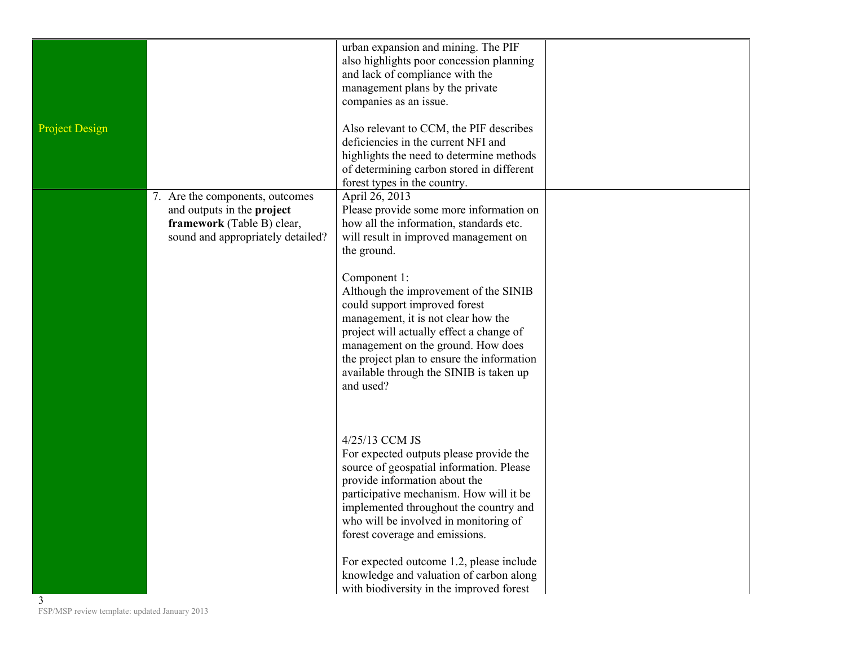|                                                    |                                                                                                                                  | urban expansion and mining. The PIF<br>also highlights poor concession planning<br>and lack of compliance with the<br>management plans by the private<br>companies as an issue.                                                                                                                                       |  |
|----------------------------------------------------|----------------------------------------------------------------------------------------------------------------------------------|-----------------------------------------------------------------------------------------------------------------------------------------------------------------------------------------------------------------------------------------------------------------------------------------------------------------------|--|
| <b>Project Design</b>                              |                                                                                                                                  | Also relevant to CCM, the PIF describes<br>deficiencies in the current NFI and<br>highlights the need to determine methods<br>of determining carbon stored in different<br>forest types in the country.                                                                                                               |  |
|                                                    | 7. Are the components, outcomes<br>and outputs in the project<br>framework (Table B) clear,<br>sound and appropriately detailed? | April 26, 2013<br>Please provide some more information on<br>how all the information, standards etc.<br>will result in improved management on<br>the ground.                                                                                                                                                          |  |
|                                                    |                                                                                                                                  | Component 1:<br>Although the improvement of the SINIB<br>could support improved forest<br>management, it is not clear how the<br>project will actually effect a change of<br>management on the ground. How does<br>the project plan to ensure the information<br>available through the SINIB is taken up<br>and used? |  |
|                                                    |                                                                                                                                  | 4/25/13 CCM JS<br>For expected outputs please provide the<br>source of geospatial information. Please<br>provide information about the<br>participative mechanism. How will it be<br>implemented throughout the country and<br>who will be involved in monitoring of<br>forest coverage and emissions.                |  |
| 3<br>FSP/MSP review template: updated January 2013 |                                                                                                                                  | For expected outcome 1.2, please include<br>knowledge and valuation of carbon along<br>with biodiversity in the improved forest                                                                                                                                                                                       |  |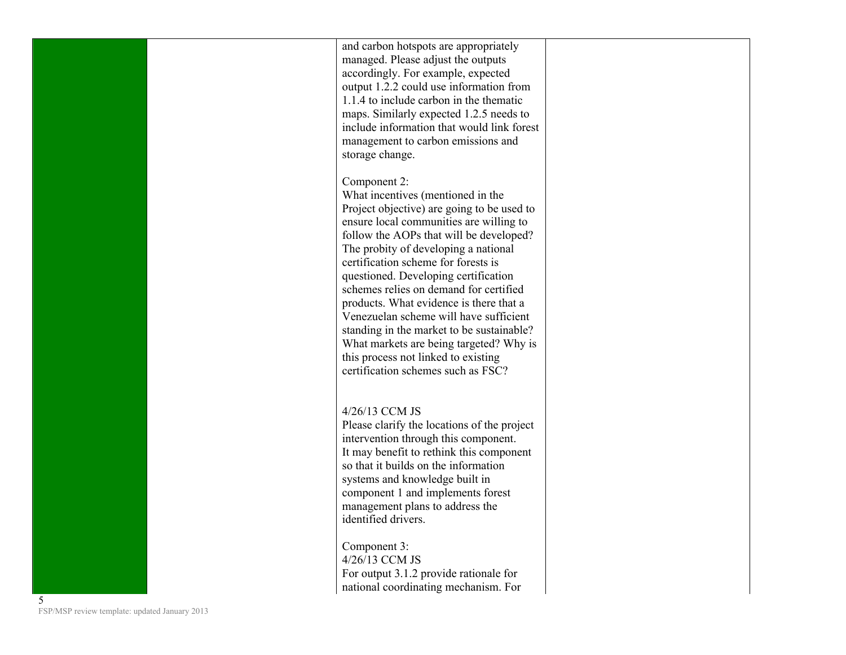and carbon hotspots are appropriately managed. Please adjust the outputs accordingly. For example, expected output 1.2.2 could use information from 1.1.4 to include carbon in the thematic maps. Similarly expected 1.2.5 needs to include information that would link forest management to carbon emissions and storage change.

Component 2:

What incentives (mentioned in the Project objective) are going to be used to ensure local communities are willing to follow the AOPs that will be developed? The probity of developing a national certification scheme for forests is questioned. Developing certification schemes relies on demand for certified products. What evidence is there that a Venezuelan scheme will have sufficient standing in the market to be sustainable? What markets are being targeted? Why is this process not linked to existing certification schemes such as FSC?

4/26/13 CCM JS

Please clarify the locations of the project intervention through this component. It may benefit to rethink this component so that it builds on the information systems and knowledge built in component 1 and implements forest management plans to address the identified drivers.

Component 3: 4/26/13 CCM JS For output 3.1.2 provide rationale for national coordinating mechanism. For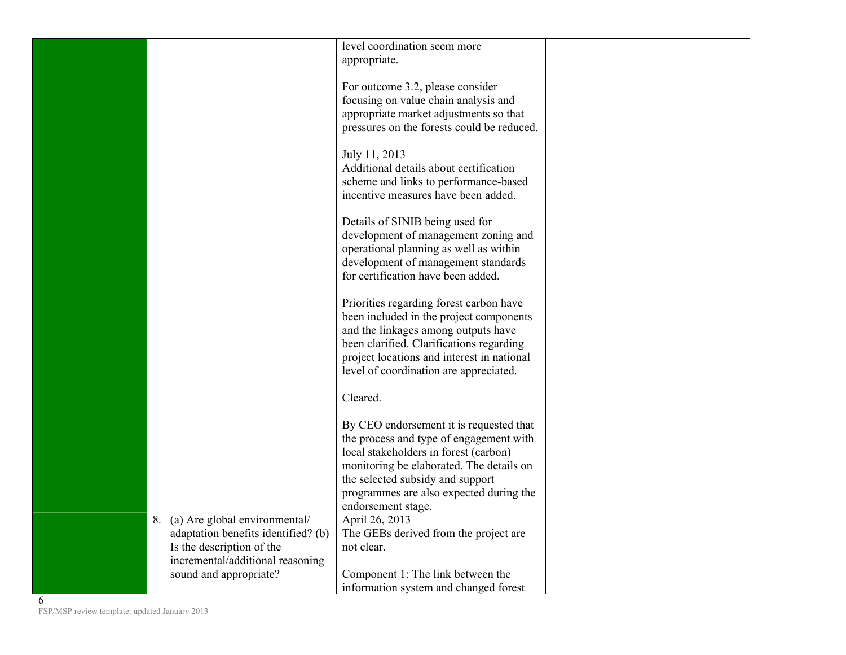|                                                                                                      | level coordination seem more<br>appropriate.                                                                                                                                                                                                                  |  |
|------------------------------------------------------------------------------------------------------|---------------------------------------------------------------------------------------------------------------------------------------------------------------------------------------------------------------------------------------------------------------|--|
|                                                                                                      | For outcome 3.2, please consider<br>focusing on value chain analysis and<br>appropriate market adjustments so that<br>pressures on the forests could be reduced.                                                                                              |  |
|                                                                                                      | July 11, 2013<br>Additional details about certification<br>scheme and links to performance-based<br>incentive measures have been added.                                                                                                                       |  |
|                                                                                                      | Details of SINIB being used for<br>development of management zoning and<br>operational planning as well as within<br>development of management standards<br>for certification have been added.                                                                |  |
|                                                                                                      | Priorities regarding forest carbon have<br>been included in the project components<br>and the linkages among outputs have<br>been clarified. Clarifications regarding<br>project locations and interest in national<br>level of coordination are appreciated. |  |
|                                                                                                      | Cleared.                                                                                                                                                                                                                                                      |  |
|                                                                                                      | By CEO endorsement it is requested that<br>the process and type of engagement with<br>local stakeholders in forest (carbon)<br>monitoring be elaborated. The details on<br>the selected subsidy and support<br>programmes are also expected during the        |  |
| 8. (a) Are global environmental/                                                                     | endorsement stage.<br>April 26, 2013                                                                                                                                                                                                                          |  |
| adaptation benefits identified? (b)<br>Is the description of the<br>incremental/additional reasoning | The GEBs derived from the project are<br>not clear.                                                                                                                                                                                                           |  |
| sound and appropriate?                                                                               | Component 1: The link between the<br>information system and changed forest                                                                                                                                                                                    |  |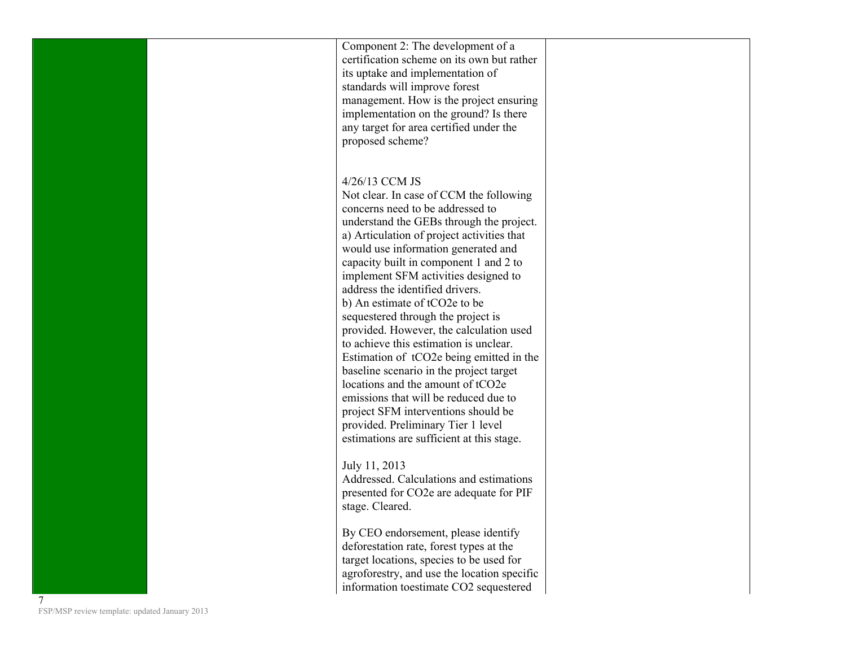| Component 2: The development of a          |
|--------------------------------------------|
| certification scheme on its own but rather |
| its uptake and implementation of           |
| standards will improve forest              |
| management. How is the project ensuring    |
| implementation on the ground? Is there     |
| any target for area certified under the    |
| proposed scheme?                           |
|                                            |

## 4/26/13 CCM JS

Not clear. In case of CCM the following concerns need to be addressed to understand the GEBs through the project. a) Articulation of project activities that would use information generated and capacity built in component 1 and 2 to implement SFM activities designed to address the identified drivers. b) An estimate of tCO2e to be sequestered through the project is provided. However, the calculation used to achieve this estimation is unclear. Estimation of tCO2e being emitted in the baseline scenario in the project target locations and the amount of tCO2e emissions that will be reduced due to project SFM interventions should be provided. Preliminary Tier 1 level estimations are sufficient at this stage.

## July 11, 2013

Addressed. Calculations and estimations presented for CO2e are adequate for PIF stage. Cleared.

By CEO endorsement, please identify deforestation rate, forest types at the target locations, species to be used for agroforestry, and use the location specific information toestimate CO2 sequestered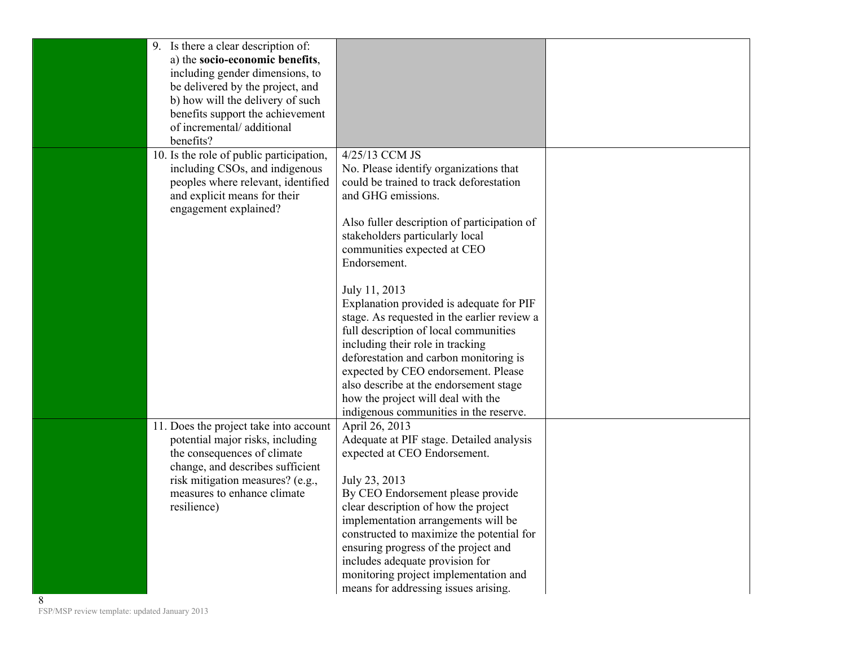| 9. Is there a clear description of:<br>a) the socio-economic benefits,<br>including gender dimensions, to<br>be delivered by the project, and                             |                                                                                                                                                                                                                                             |  |
|---------------------------------------------------------------------------------------------------------------------------------------------------------------------------|---------------------------------------------------------------------------------------------------------------------------------------------------------------------------------------------------------------------------------------------|--|
| b) how will the delivery of such<br>benefits support the achievement<br>of incremental/additional<br>benefits?                                                            |                                                                                                                                                                                                                                             |  |
| 10. Is the role of public participation,<br>including CSOs, and indigenous<br>peoples where relevant, identified<br>and explicit means for their<br>engagement explained? | 4/25/13 CCM JS<br>No. Please identify organizations that<br>could be trained to track deforestation<br>and GHG emissions.                                                                                                                   |  |
|                                                                                                                                                                           | Also fuller description of participation of<br>stakeholders particularly local<br>communities expected at CEO<br>Endorsement.                                                                                                               |  |
|                                                                                                                                                                           | July 11, 2013<br>Explanation provided is adequate for PIF<br>stage. As requested in the earlier review a<br>full description of local communities                                                                                           |  |
|                                                                                                                                                                           | including their role in tracking<br>deforestation and carbon monitoring is<br>expected by CEO endorsement. Please<br>also describe at the endorsement stage<br>how the project will deal with the<br>indigenous communities in the reserve. |  |
| 11. Does the project take into account<br>potential major risks, including<br>the consequences of climate<br>change, and describes sufficient                             | April 26, 2013<br>Adequate at PIF stage. Detailed analysis<br>expected at CEO Endorsement.                                                                                                                                                  |  |
| risk mitigation measures? (e.g.,<br>measures to enhance climate<br>resilience)                                                                                            | July 23, 2013<br>By CEO Endorsement please provide<br>clear description of how the project<br>implementation arrangements will be<br>constructed to maximize the potential for                                                              |  |
|                                                                                                                                                                           | ensuring progress of the project and<br>includes adequate provision for<br>monitoring project implementation and<br>means for addressing issues arising.                                                                                    |  |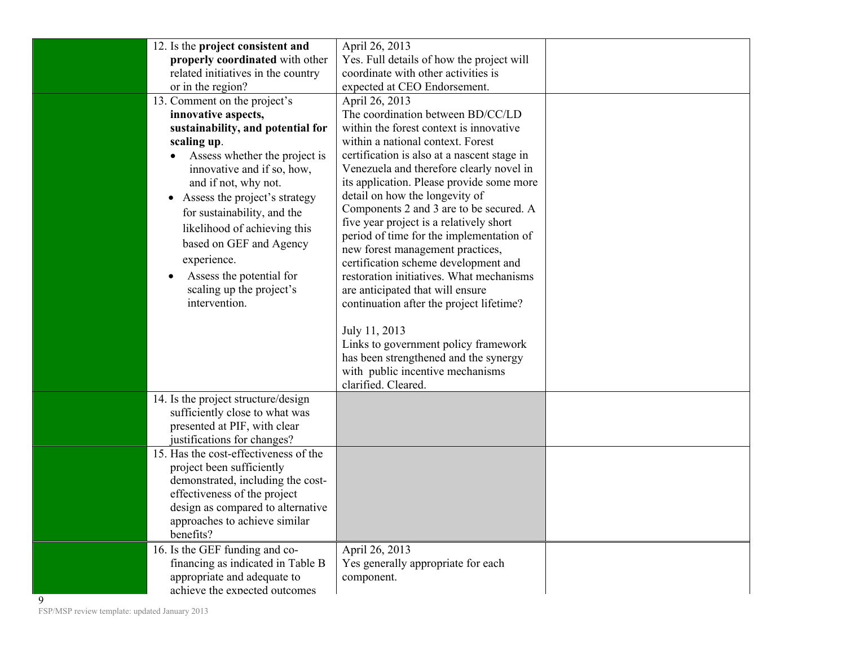| 12. Is the project consistent and<br>properly coordinated with other<br>related initiatives in the country                                                                                                                                                                                                                                                                                                                             | April 26, 2013<br>Yes. Full details of how the project will<br>coordinate with other activities is                                                                                                                                                                                                                                                                                                                                                                                                                                                                                                                                                                                                                                                                                                                                                   |
|----------------------------------------------------------------------------------------------------------------------------------------------------------------------------------------------------------------------------------------------------------------------------------------------------------------------------------------------------------------------------------------------------------------------------------------|------------------------------------------------------------------------------------------------------------------------------------------------------------------------------------------------------------------------------------------------------------------------------------------------------------------------------------------------------------------------------------------------------------------------------------------------------------------------------------------------------------------------------------------------------------------------------------------------------------------------------------------------------------------------------------------------------------------------------------------------------------------------------------------------------------------------------------------------------|
| or in the region?<br>13. Comment on the project's<br>innovative aspects,<br>sustainability, and potential for<br>scaling up.<br>Assess whether the project is<br>innovative and if so, how,<br>and if not, why not.<br>Assess the project's strategy<br>for sustainability, and the<br>likelihood of achieving this<br>based on GEF and Agency<br>experience.<br>Assess the potential for<br>scaling up the project's<br>intervention. | expected at CEO Endorsement.<br>April 26, 2013<br>The coordination between BD/CC/LD<br>within the forest context is innovative<br>within a national context. Forest<br>certification is also at a nascent stage in<br>Venezuela and therefore clearly novel in<br>its application. Please provide some more<br>detail on how the longevity of<br>Components 2 and 3 are to be secured. A<br>five year project is a relatively short<br>period of time for the implementation of<br>new forest management practices,<br>certification scheme development and<br>restoration initiatives. What mechanisms<br>are anticipated that will ensure<br>continuation after the project lifetime?<br>July 11, 2013<br>Links to government policy framework<br>has been strengthened and the synergy<br>with public incentive mechanisms<br>clarified. Cleared. |
| 14. Is the project structure/design<br>sufficiently close to what was<br>presented at PIF, with clear<br>justifications for changes?                                                                                                                                                                                                                                                                                                   |                                                                                                                                                                                                                                                                                                                                                                                                                                                                                                                                                                                                                                                                                                                                                                                                                                                      |
| 15. Has the cost-effectiveness of the<br>project been sufficiently<br>demonstrated, including the cost-<br>effectiveness of the project<br>design as compared to alternative<br>approaches to achieve similar<br>benefits?                                                                                                                                                                                                             |                                                                                                                                                                                                                                                                                                                                                                                                                                                                                                                                                                                                                                                                                                                                                                                                                                                      |
| 16. Is the GEF funding and co-<br>financing as indicated in Table B<br>appropriate and adequate to<br>achieve the expected outcomes<br>9                                                                                                                                                                                                                                                                                               | April 26, 2013<br>Yes generally appropriate for each<br>component.                                                                                                                                                                                                                                                                                                                                                                                                                                                                                                                                                                                                                                                                                                                                                                                   |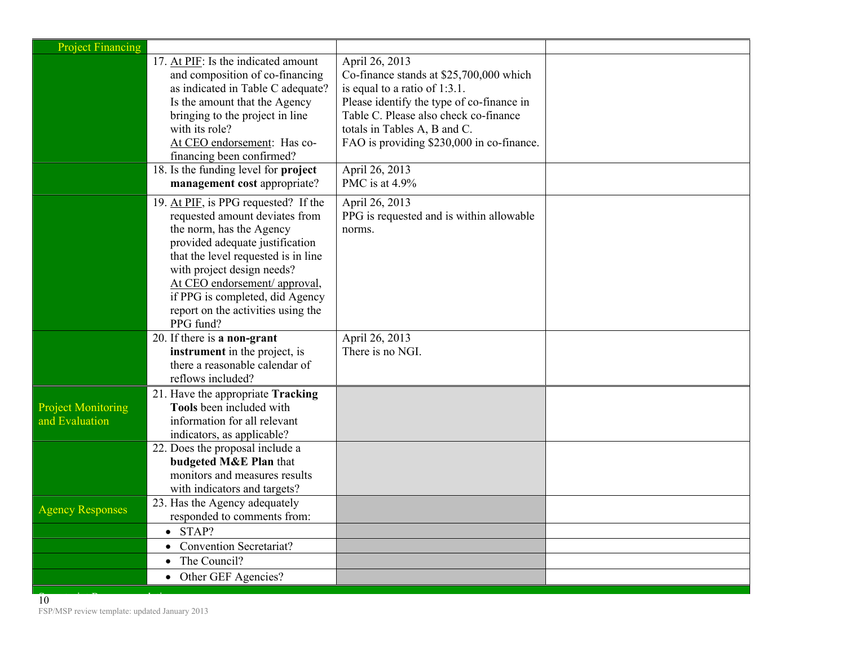| <b>Project Financing</b>                    |                                                                                                                                                                                                                                                                                                                                   |                                                                                                                                                                                                                                                                                    |  |
|---------------------------------------------|-----------------------------------------------------------------------------------------------------------------------------------------------------------------------------------------------------------------------------------------------------------------------------------------------------------------------------------|------------------------------------------------------------------------------------------------------------------------------------------------------------------------------------------------------------------------------------------------------------------------------------|--|
|                                             | 17. At PIF: Is the indicated amount<br>and composition of co-financing<br>as indicated in Table C adequate?<br>Is the amount that the Agency<br>bringing to the project in line<br>with its role?<br>At CEO endorsement: Has co-<br>financing been confirmed?<br>18. Is the funding level for project                             | April 26, 2013<br>Co-finance stands at \$25,700,000 which<br>is equal to a ratio of $1:3.1$ .<br>Please identify the type of co-finance in<br>Table C. Please also check co-finance<br>totals in Tables A, B and C.<br>FAO is providing \$230,000 in co-finance.<br>April 26, 2013 |  |
|                                             | management cost appropriate?                                                                                                                                                                                                                                                                                                      | PMC is at 4.9%                                                                                                                                                                                                                                                                     |  |
|                                             | 19. At PIF, is PPG requested? If the<br>requested amount deviates from<br>the norm, has the Agency<br>provided adequate justification<br>that the level requested is in line<br>with project design needs?<br>At CEO endorsement/ approval,<br>if PPG is completed, did Agency<br>report on the activities using the<br>PPG fund? | April 26, 2013<br>PPG is requested and is within allowable<br>norms.                                                                                                                                                                                                               |  |
|                                             | 20. If there is a non-grant<br>instrument in the project, is<br>there a reasonable calendar of<br>reflows included?                                                                                                                                                                                                               | April 26, 2013<br>There is no NGI.                                                                                                                                                                                                                                                 |  |
| <b>Project Monitoring</b><br>and Evaluation | 21. Have the appropriate Tracking<br><b>Tools</b> been included with<br>information for all relevant<br>indicators, as applicable?                                                                                                                                                                                                |                                                                                                                                                                                                                                                                                    |  |
|                                             | 22. Does the proposal include a<br>budgeted M&E Plan that<br>monitors and measures results<br>with indicators and targets?                                                                                                                                                                                                        |                                                                                                                                                                                                                                                                                    |  |
| <b>Agency Responses</b>                     | 23. Has the Agency adequately<br>responded to comments from:                                                                                                                                                                                                                                                                      |                                                                                                                                                                                                                                                                                    |  |
|                                             | $\bullet$ STAP?                                                                                                                                                                                                                                                                                                                   |                                                                                                                                                                                                                                                                                    |  |
|                                             | • Convention Secretariat?                                                                                                                                                                                                                                                                                                         |                                                                                                                                                                                                                                                                                    |  |
|                                             | The Council?                                                                                                                                                                                                                                                                                                                      |                                                                                                                                                                                                                                                                                    |  |
|                                             | • Other GEF Agencies?                                                                                                                                                                                                                                                                                                             |                                                                                                                                                                                                                                                                                    |  |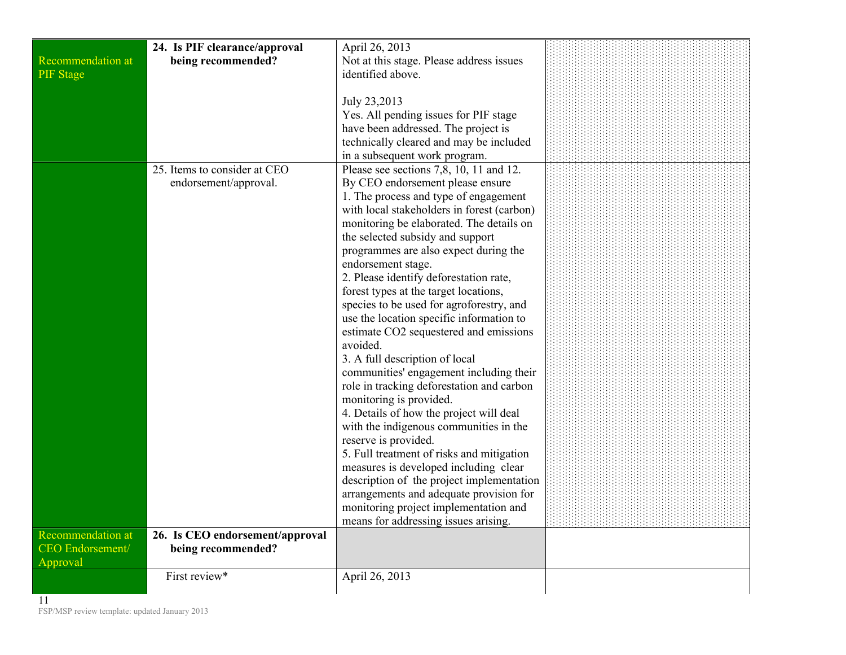|                          | 24. Is PIF clearance/approval   | April 26, 2013                             |  |
|--------------------------|---------------------------------|--------------------------------------------|--|
| Recommendation at        | being recommended?              | Not at this stage. Please address issues   |  |
| <b>PIF</b> Stage         |                                 | identified above.                          |  |
|                          |                                 |                                            |  |
|                          |                                 | July 23,2013                               |  |
|                          |                                 | Yes. All pending issues for PIF stage      |  |
|                          |                                 | have been addressed. The project is        |  |
|                          |                                 | technically cleared and may be included    |  |
|                          |                                 | in a subsequent work program.              |  |
|                          | 25. Items to consider at CEO    | Please see sections 7,8, 10, 11 and 12.    |  |
|                          | endorsement/approval.           | By CEO endorsement please ensure           |  |
|                          |                                 | 1. The process and type of engagement      |  |
|                          |                                 | with local stakeholders in forest (carbon) |  |
|                          |                                 | monitoring be elaborated. The details on   |  |
|                          |                                 | the selected subsidy and support           |  |
|                          |                                 | programmes are also expect during the      |  |
|                          |                                 | endorsement stage.                         |  |
|                          |                                 | 2. Please identify deforestation rate,     |  |
|                          |                                 | forest types at the target locations,      |  |
|                          |                                 | species to be used for agroforestry, and   |  |
|                          |                                 | use the location specific information to   |  |
|                          |                                 | estimate CO2 sequestered and emissions     |  |
|                          |                                 | avoided.                                   |  |
|                          |                                 | 3. A full description of local             |  |
|                          |                                 | communities' engagement including their    |  |
|                          |                                 | role in tracking deforestation and carbon  |  |
|                          |                                 | monitoring is provided.                    |  |
|                          |                                 | 4. Details of how the project will deal    |  |
|                          |                                 | with the indigenous communities in the     |  |
|                          |                                 | reserve is provided.                       |  |
|                          |                                 | 5. Full treatment of risks and mitigation  |  |
|                          |                                 | measures is developed including clear      |  |
|                          |                                 | description of the project implementation  |  |
|                          |                                 | arrangements and adequate provision for    |  |
|                          |                                 | monitoring project implementation and      |  |
|                          |                                 | means for addressing issues arising.       |  |
| <b>Recommendation at</b> | 26. Is CEO endorsement/approval |                                            |  |
| <b>CEO</b> Endorsement/  | being recommended?              |                                            |  |
| Approval                 |                                 |                                            |  |
|                          | First review*                   | April 26, 2013                             |  |
|                          |                                 |                                            |  |